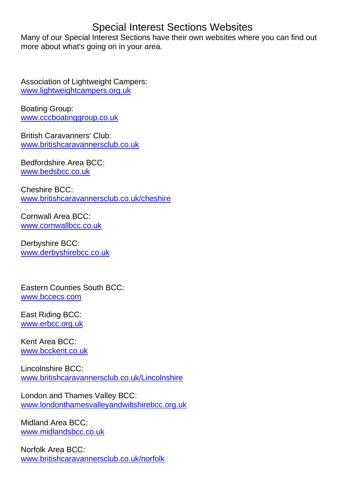## Special Interest Sections Websites

Many of our Special Interest Sections have their own websites where you can find out more about what's going on in your area.

Association of Lightweight Campers: [www.lightweightcampers.org.uk](http://www.lightweightcampers.org.uk/)

Boating Group: [www.cccboatinggroup.co.uk](http://www.cccboatinggroup.co.uk/)

British Caravanners' Club: [www.britishcaravannersclub.co.uk](http://www.britishcaravannersclub.co.uk/)

Bedfordshire Area BCC: [www.bedsbcc.co.uk](http://www.bedsbcc.co.uk/)

Cheshire BCC: [www.britishcaravannersclub.co.uk/cheshire](http://www.britishcaravannersclub.co.uk/cheshire)

Cornwall Area BCC: [www.cornwallbcc.co.uk](http://www.cornwallbcc.co.uk/)

Derbyshire BCC: [www.derbyshirebcc.co.uk](http://www.derbyshirebcc.co.uk/)

Eastern Counties South BCC: [www.bccecs.com](http://www.bccecs.com/)

East Riding BCC: [www.erbcc.org.uk](http://erbcc.org.uk/)

Kent Area BCC: [www.bcckent.co.uk](http://www.bcckent.co.uk/)

Lincolnshire BCC: [www.britishcaravannersclub.co.uk/Lincolnshire](http://www.britishcaravannersclub.co.uk/Lincolnshire/)

London and Thames Valley BCC: [www.londonthamesvalleyandwiltshirebcc.org.uk](http://www.londonthamesvalleyandwiltshirebcc.org.uk/)

Midland Area BCC: [www.midlandsbcc.co.uk](http://www.midlandsbcc.co.uk/)

Norfolk Area BCC: [www.britishcaravannersclub.co.uk/norfolk](http://www.britishcaravannersclub.co.uk/norfolk/)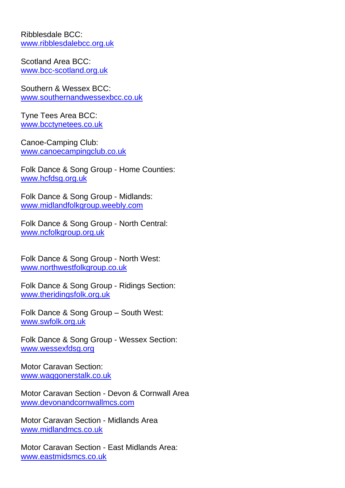Ribblesdale BCC: [www.ribblesdalebcc.org.uk](http://www.ribblesdalebcc.org.uk/)

Scotland Area BCC: [www.bcc-scotland.org.uk](http://www.bcc-scotland.org.uk/)

Southern & Wessex BCC: [www.southernandwessexbcc.co.uk](http://www.southernandwessexbcc.co.uk/)

Tyne Tees Area BCC: [www.bcctynetees.co.uk](https://www.bcctynetees.co.uk/)

Canoe-Camping Club: [www.canoecampingclub.co.uk](http://www.canoecampingclub.co.uk/)

Folk Dance & Song Group - Home Counties: [www.hcfdsg.org.uk](http://www.hcfdsg.org.uk/)

Folk Dance & Song Group - Midlands: [www.midlandfolkgroup.weebly.com](https://midlandfolkgroup.weebly.com/)

Folk Dance & Song Group - North Central: [www.ncfolkgroup.org.uk](http://www.ncfolkgroup.org.uk/)

Folk Dance & Song Group - North West: [www.northwestfolkgroup.co.uk](http://www.northwestfolkgroup.co.uk/)

Folk Dance & Song Group - Ridings Section: [www.theridingsfolk.org.uk](http://www.theridingsfolk.org.uk/)

Folk Dance & Song Group – South West: [www.swfolk.org.uk](http://www.swfolk.org.uk/)

Folk Dance & Song Group - Wessex Section: [www.wessexfdsg.org](http://www.wessexfdsg.org/)

Motor Caravan Section: [www.waggonerstalk.co.uk](http://www.waggonerstalk.co.uk/)

Motor Caravan Section - Devon & Cornwall Area [www.devonandcornwallmcs.com](http://www.devonandcornwallmcs.com/)

Motor Caravan Section - Midlands Area [www.midlandmcs.co.uk](http://www.midlandmcs.co.uk/)

Motor Caravan Section - East Midlands Area: [www.eastmidsmcs.co.uk](http://www.eastmidsmcs.co.uk/)